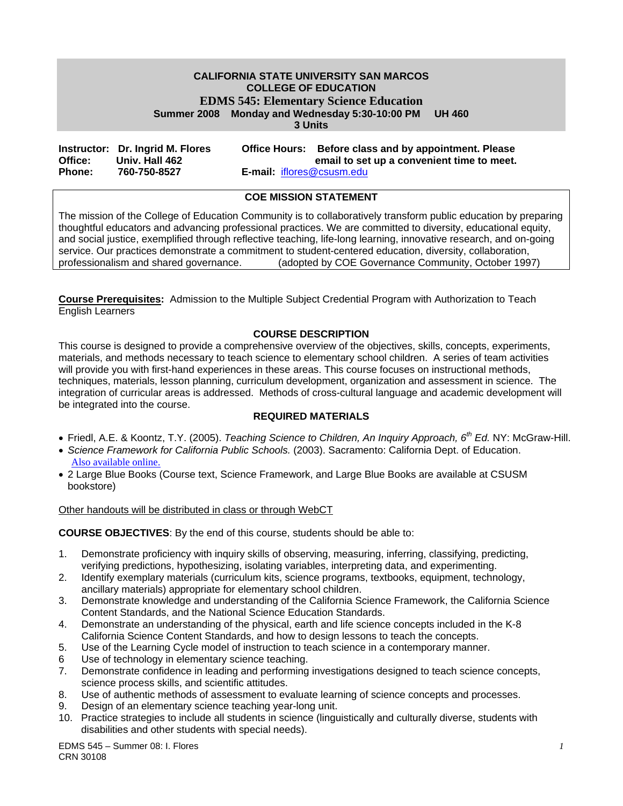#### **CALIFORNIA STATE UNIVERSITY SAN MARCOS COLLEGE OF EDUCATION EDMS 545: Elementary Science Education Summer 2008 Monday and Wednesday 5:30-10:00 PM UH 460 3 Units**

|               | Instructor: Dr. Ingrid M. Flores |                                  | Office Hours: Before class and by appointment. Please |
|---------------|----------------------------------|----------------------------------|-------------------------------------------------------|
| Office:       | Univ. Hall 462                   |                                  | email to set up a convenient time to meet.            |
| <b>Phone:</b> | 760-750-8527                     | <b>E-mail: iflores@csusm.edu</b> |                                                       |

## **COE MISSION STATEMENT**

The mission of the College of Education Community is to collaboratively transform public education by preparing thoughtful educators and advancing professional practices. We are committed to diversity, educational equity, and social justice, exemplified through reflective teaching, life-long learning, innovative research, and on-going service. Our practices demonstrate a commitment to student-centered education, diversity, collaboration, professionalism and shared governance. (adopted by COE Governance Community, October 1997)

**Course Prerequisites:** Admission to the Multiple Subject Credential Program with Authorization to Teach English Learners

#### **COURSE DESCRIPTION**

This course is designed to provide a comprehensive overview of the objectives, skills, concepts, experiments, materials, and methods necessary to teach science to elementary school children. A series of team activities will provide you with first-hand experiences in these areas. This course focuses on instructional methods, techniques, materials, lesson planning, curriculum development, organization and assessment in science. The integration of curricular areas is addressed. Methods of cross-cultural language and academic development will be integrated into the course.

#### **REQUIRED MATERIALS**

- Friedl, A.E. & Koontz, T.Y. (2005). *Teaching Science to Children, An Inquiry Approach, 6th Ed.* NY: McGraw-Hill.
- *Science Framework for California Public Schools.* (2003). Sacramento: California Dept. of Education. Also available online.
- 2 Large Blue Books (Course text, Science Framework, and Large Blue Books are available at CSUSM bookstore)

Other handouts will be distributed in class or through WebCT

**COURSE OBJECTIVES**: By the end of this course, students should be able to:

- 1. Demonstrate proficiency with inquiry skills of observing, measuring, inferring, classifying, predicting, verifying predictions, hypothesizing, isolating variables, interpreting data, and experimenting.
- 2. Identify exemplary materials (curriculum kits, science programs, textbooks, equipment, technology, ancillary materials) appropriate for elementary school children.
- 3. Demonstrate knowledge and understanding of the California Science Framework, the California Science Content Standards, and the National Science Education Standards.
- 4. Demonstrate an understanding of the physical, earth and life science concepts included in the K-8 California Science Content Standards, and how to design lessons to teach the concepts.
- 5. Use of the Learning Cycle model of instruction to teach science in a contemporary manner.
- 6 Use of technology in elementary science teaching.
- Demonstrate confidence in leading and performing investigations designed to teach science concepts, science process skills, and scientific attitudes.
- 8. Use of authentic methods of assessment to evaluate learning of science concepts and processes.
- 9. Design of an elementary science teaching year-long unit.
- 10. Practice strategies to include all students in science (linguistically and culturally diverse, students with disabilities and other students with special needs).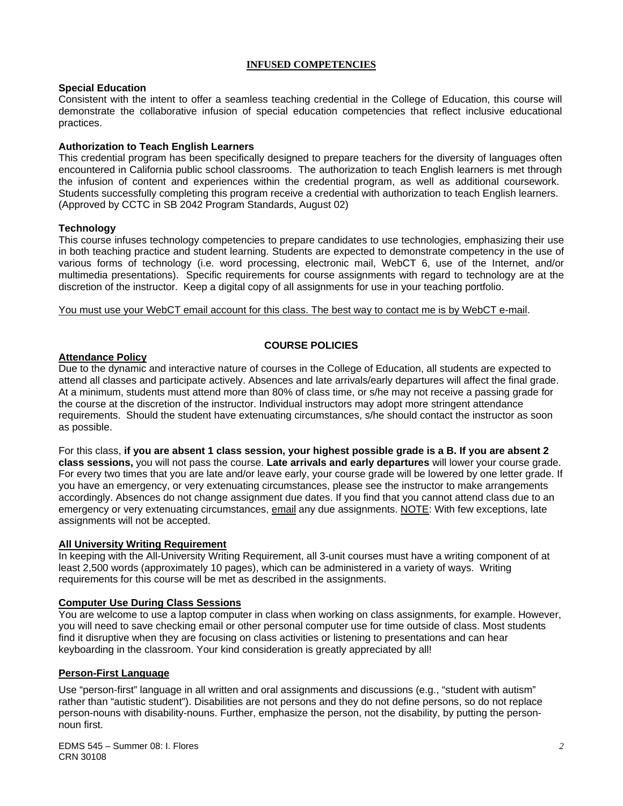#### **INFUSED COMPETENCIES**

#### **Special Education**

Consistent with the intent to offer a seamless teaching credential in the College of Education, this course will demonstrate the collaborative infusion of special education competencies that reflect inclusive educational practices.

#### **Authorization to Teach English Learners**

This credential program has been specifically designed to prepare teachers for the diversity of languages often encountered in California public school classrooms. The authorization to teach English learners is met through the infusion of content and experiences within the credential program, as well as additional coursework. Students successfully completing this program receive a credential with authorization to teach English learners. (Approved by CCTC in SB 2042 Program Standards, August 02)

#### **Technology**

This course infuses technology competencies to prepare candidates to use technologies, emphasizing their use in both teaching practice and student learning. Students are expected to demonstrate competency in the use of various forms of technology (i.e. word processing, electronic mail, WebCT 6, use of the Internet, and/or multimedia presentations). Specific requirements for course assignments with regard to technology are at the discretion of the instructor. Keep a digital copy of all assignments for use in your teaching portfolio.

You must use your WebCT email account for this class. The best way to contact me is by WebCT e-mail.

#### **COURSE POLICIES**

#### **Attendance Policy**

Due to the dynamic and interactive nature of courses in the College of Education, all students are expected to attend all classes and participate actively. Absences and late arrivals/early departures will affect the final grade. At a minimum, students must attend more than 80% of class time, or s/he may not receive a passing grade for the course at the discretion of the instructor. Individual instructors may adopt more stringent attendance requirements. Should the student have extenuating circumstances, s/he should contact the instructor as soon as possible.

For this class, **if you are absent 1 class session, your highest possible grade is a B. If you are absent 2 class sessions,** you will not pass the course. **Late arrivals and early departures** will lower your course grade. For every two times that you are late and/or leave early, your course grade will be lowered by one letter grade. If you have an emergency, or very extenuating circumstances, please see the instructor to make arrangements accordingly. Absences do not change assignment due dates. If you find that you cannot attend class due to an emergency or very extenuating circumstances, email any due assignments. NOTE: With few exceptions, late assignments will not be accepted.

#### **All University Writing Requirement**

In keeping with the All-University Writing Requirement, all 3-unit courses must have a writing component of at least 2,500 words (approximately 10 pages), which can be administered in a variety of ways. Writing requirements for this course will be met as described in the assignments.

#### **Computer Use During Class Sessions**

You are welcome to use a laptop computer in class when working on class assignments, for example. However, you will need to save checking email or other personal computer use for time outside of class. Most students find it disruptive when they are focusing on class activities or listening to presentations and can hear keyboarding in the classroom. Your kind consideration is greatly appreciated by all!

## **Person-First Language**

Use "person-first" language in all written and oral assignments and discussions (e.g., "student with autism" rather than "autistic student"). Disabilities are not persons and they do not define persons, so do not replace person-nouns with disability-nouns. Further, emphasize the person, not the disability, by putting the personnoun first.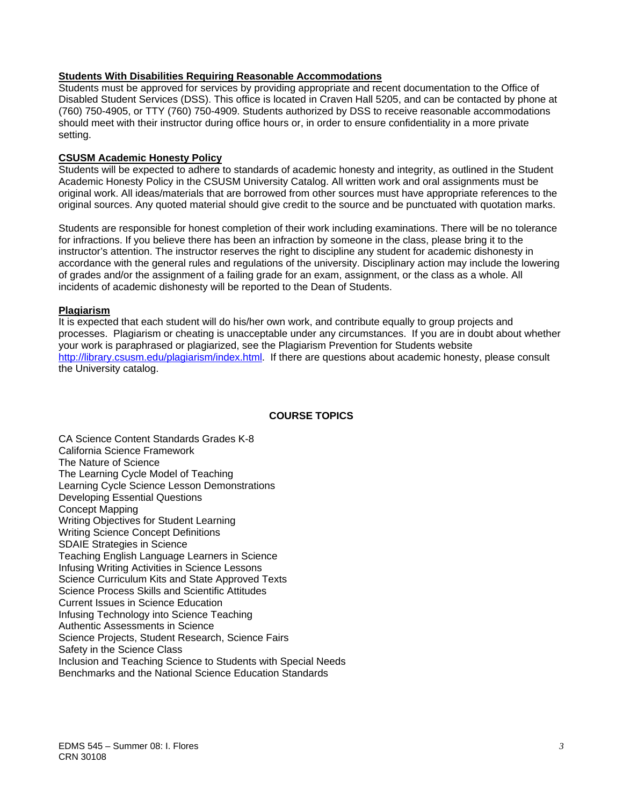#### **Students With Disabilities Requiring Reasonable Accommodations**

Students must be approved for services by providing appropriate and recent documentation to the Office of Disabled Student Services (DSS). This office is located in Craven Hall 5205, and can be contacted by phone at (760) 750-4905, or TTY (760) 750-4909. Students authorized by DSS to receive reasonable accommodations should meet with their instructor during office hours or, in order to ensure confidentiality in a more private setting.

## **CSUSM Academic Honesty Policy**

Students will be expected to adhere to standards of academic honesty and integrity, as outlined in the Student Academic Honesty Policy in the CSUSM University Catalog. All written work and oral assignments must be original work. All ideas/materials that are borrowed from other sources must have appropriate references to the original sources. Any quoted material should give credit to the source and be punctuated with quotation marks.

Students are responsible for honest completion of their work including examinations. There will be no tolerance for infractions. If you believe there has been an infraction by someone in the class, please bring it to the instructor's attention. The instructor reserves the right to discipline any student for academic dishonesty in accordance with the general rules and regulations of the university. Disciplinary action may include the lowering of grades and/or the assignment of a failing grade for an exam, assignment, or the class as a whole. All incidents of academic dishonesty will be reported to the Dean of Students.

## **Plagiarism**

It is expected that each student will do his/her own work, and contribute equally to group projects and processes. Plagiarism or cheating is unacceptable under any circumstances. If you are in doubt about whether your work is paraphrased or plagiarized, see the Plagiarism Prevention for Students website http://library.csusm.edu/plagiarism/index.html. If there are questions about academic honesty, please consult the University catalog.

## **COURSE TOPICS**

CA Science Content Standards Grades K-8 California Science Framework The Nature of Science The Learning Cycle Model of Teaching Learning Cycle Science Lesson Demonstrations Developing Essential Questions Concept Mapping Writing Objectives for Student Learning Writing Science Concept Definitions SDAIE Strategies in Science Teaching English Language Learners in Science Infusing Writing Activities in Science Lessons Science Curriculum Kits and State Approved Texts Science Process Skills and Scientific Attitudes Current Issues in Science Education Infusing Technology into Science Teaching Authentic Assessments in Science Science Projects, Student Research, Science Fairs Safety in the Science Class Inclusion and Teaching Science to Students with Special Needs Benchmarks and the National Science Education Standards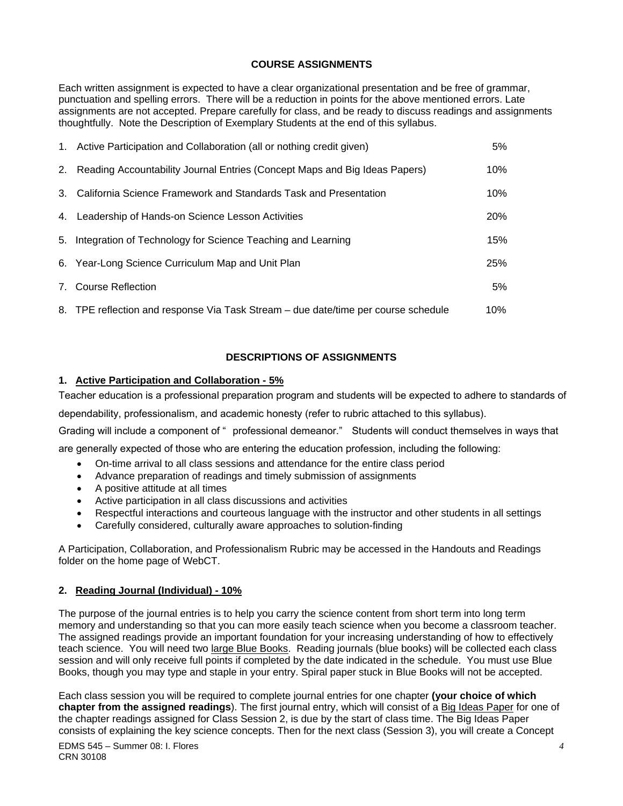# **COURSE ASSIGNMENTS**

Each written assignment is expected to have a clear organizational presentation and be free of grammar, punctuation and spelling errors. There will be a reduction in points for the above mentioned errors. Late assignments are not accepted. Prepare carefully for class, and be ready to discuss readings and assignments thoughtfully. Note the Description of Exemplary Students at the end of this syllabus.

| 1. Active Participation and Collaboration (all or nothing credit given)            | 5%  |
|------------------------------------------------------------------------------------|-----|
| 2. Reading Accountability Journal Entries (Concept Maps and Big Ideas Papers)      | 10% |
| 3. California Science Framework and Standards Task and Presentation                | 10% |
| 4. Leadership of Hands-on Science Lesson Activities                                | 20% |
| 5. Integration of Technology for Science Teaching and Learning                     | 15% |
| 6. Year-Long Science Curriculum Map and Unit Plan                                  | 25% |
| 7. Course Reflection                                                               | 5%  |
| 8. TPE reflection and response Via Task Stream – due date/time per course schedule | 10% |

# **DESCRIPTIONS OF ASSIGNMENTS**

# **1. Active Participation and Collaboration - 5%**

Teacher education is a professional preparation program and students will be expected to adhere to standards of

dependability, professionalism, and academic honesty (refer to rubric attached to this syllabus).

Grading will include a component of " professional demeanor." Students will conduct themselves in ways that

are generally expected of those who are entering the education profession, including the following:

- On-time arrival to all class sessions and attendance for the entire class period
- Advance preparation of readings and timely submission of assignments
- A positive attitude at all times
- Active participation in all class discussions and activities
- Respectful interactions and courteous language with the instructor and other students in all settings
- Carefully considered, culturally aware approaches to solution-finding

A Participation, Collaboration, and Professionalism Rubric may be accessed in the Handouts and Readings folder on the home page of WebCT.

## **2. Reading Journal (Individual) - 10%**

The purpose of the journal entries is to help you carry the science content from short term into long term memory and understanding so that you can more easily teach science when you become a classroom teacher. The assigned readings provide an important foundation for your increasing understanding of how to effectively teach science. You will need two large Blue Books. Reading journals (blue books) will be collected each class session and will only receive full points if completed by the date indicated in the schedule. You must use Blue Books, though you may type and staple in your entry. Spiral paper stuck in Blue Books will not be accepted.

Each class session you will be required to complete journal entries for one chapter **(your choice of which chapter from the assigned readings**). The first journal entry, which will consist of a Big Ideas Paper for one of the chapter readings assigned for Class Session 2, is due by the start of class time. The Big Ideas Paper consists of explaining the key science concepts. Then for the next class (Session 3), you will create a Concept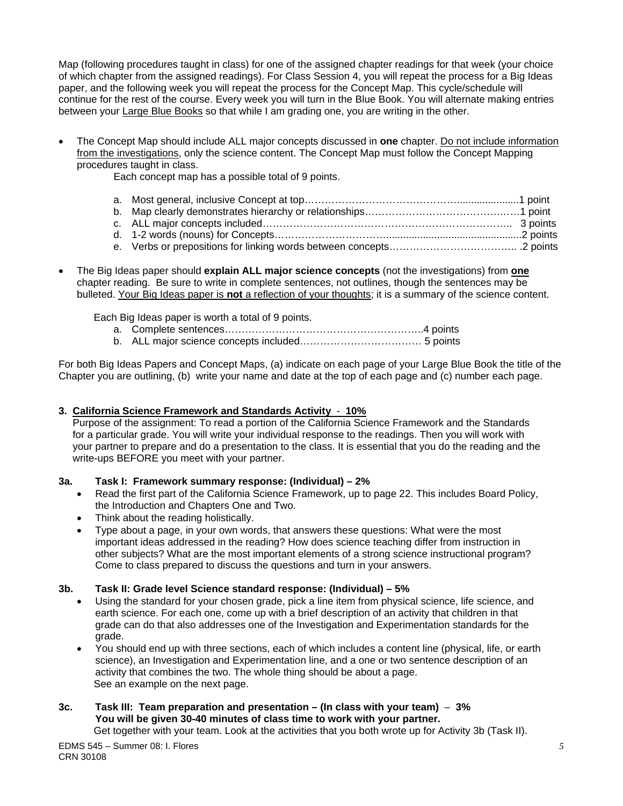Map (following procedures taught in class) for one of the assigned chapter readings for that week (your choice of which chapter from the assigned readings). For Class Session 4, you will repeat the process for a Big Ideas paper, and the following week you will repeat the process for the Concept Map. This cycle/schedule will continue for the rest of the course. Every week you will turn in the Blue Book. You will alternate making entries between your Large Blue Books so that while I am grading one, you are writing in the other.

• The Concept Map should include ALL major concepts discussed in **one** chapter. Do not include information from the investigations, only the science content. The Concept Map must follow the Concept Mapping procedures taught in class.

Each concept map has a possible total of 9 points.

• The Big Ideas paper should **explain ALL major science concepts** (not the investigations) from **one**  chapter reading. Be sure to write in complete sentences, not outlines, though the sentences may be bulleted. Your Big Ideas paper is **not** a reflection of your thoughts; it is a summary of the science content.

Each Big Ideas paper is worth a total of 9 points.

a. Complete sentences…………………………………………………..4 points b. ALL major science concepts included……………………………… 5 points

For both Big Ideas Papers and Concept Maps, (a) indicate on each page of your Large Blue Book the title of the Chapter you are outlining, (b) write your name and date at the top of each page and (c) number each page.

# **3. California Science Framework and Standards Activity** - **10%**

 Purpose of the assignment: To read a portion of the California Science Framework and the Standards for a particular grade. You will write your individual response to the readings. Then you will work with your partner to prepare and do a presentation to the class. It is essential that you do the reading and the write-ups BEFORE you meet with your partner.

# **3a. Task I: Framework summary response: (Individual) – 2%**

- Read the first part of the California Science Framework, up to page 22. This includes Board Policy, the Introduction and Chapters One and Two.
- Think about the reading holistically.
- Type about a page, in your own words, that answers these questions: What were the most important ideas addressed in the reading? How does science teaching differ from instruction in other subjects? What are the most important elements of a strong science instructional program? Come to class prepared to discuss the questions and turn in your answers.

# **3b. Task II: Grade level Science standard response: (Individual) – 5%**

- Using the standard for your chosen grade, pick a line item from physical science, life science, and earth science. For each one, come up with a brief description of an activity that children in that grade can do that also addresses one of the Investigation and Experimentation standards for the grade.
- You should end up with three sections, each of which includes a content line (physical, life, or earth science), an Investigation and Experimentation line, and a one or two sentence description of an activity that combines the two. The whole thing should be about a page. See an example on the next page.

#### **3c. Task III: Team preparation and presentation – (In class with your team)** – **3% You will be given 30-40 minutes of class time to work with your partner.**  Get together with your team. Look at the activities that you both wrote up for Activity 3b (Task II).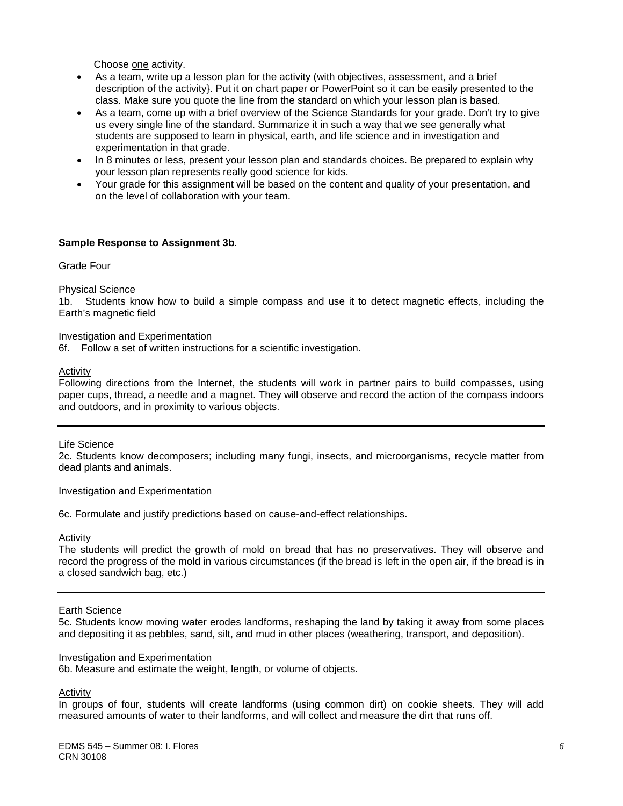Choose one activity.

- As a team, write up a lesson plan for the activity (with objectives, assessment, and a brief description of the activity}. Put it on chart paper or PowerPoint so it can be easily presented to the class. Make sure you quote the line from the standard on which your lesson plan is based.
- As a team, come up with a brief overview of the Science Standards for your grade. Don't try to give us every single line of the standard. Summarize it in such a way that we see generally what students are supposed to learn in physical, earth, and life science and in investigation and experimentation in that grade.
- In 8 minutes or less, present your lesson plan and standards choices. Be prepared to explain why your lesson plan represents really good science for kids.
- Your grade for this assignment will be based on the content and quality of your presentation, and on the level of collaboration with your team.

#### **Sample Response to Assignment 3b**.

Grade Four

Physical Science

1b. Students know how to build a simple compass and use it to detect magnetic effects, including the Earth's magnetic field

Investigation and Experimentation

6f. Follow a set of written instructions for a scientific investigation.

Activity

Following directions from the Internet, the students will work in partner pairs to build compasses, using paper cups, thread, a needle and a magnet. They will observe and record the action of the compass indoors and outdoors, and in proximity to various objects.

Life Science

2c. Students know decomposers; including many fungi, insects, and microorganisms, recycle matter from dead plants and animals.

Investigation and Experimentation

6c. Formulate and justify predictions based on cause-and-effect relationships.

Activity

The students will predict the growth of mold on bread that has no preservatives. They will observe and record the progress of the mold in various circumstances (if the bread is left in the open air, if the bread is in a closed sandwich bag, etc.)

Earth Science

5c. Students know moving water erodes landforms, reshaping the land by taking it away from some places and depositing it as pebbles, sand, silt, and mud in other places (weathering, transport, and deposition).

Investigation and Experimentation

6b. Measure and estimate the weight, length, or volume of objects.

Activity

In groups of four, students will create landforms (using common dirt) on cookie sheets. They will add measured amounts of water to their landforms, and will collect and measure the dirt that runs off.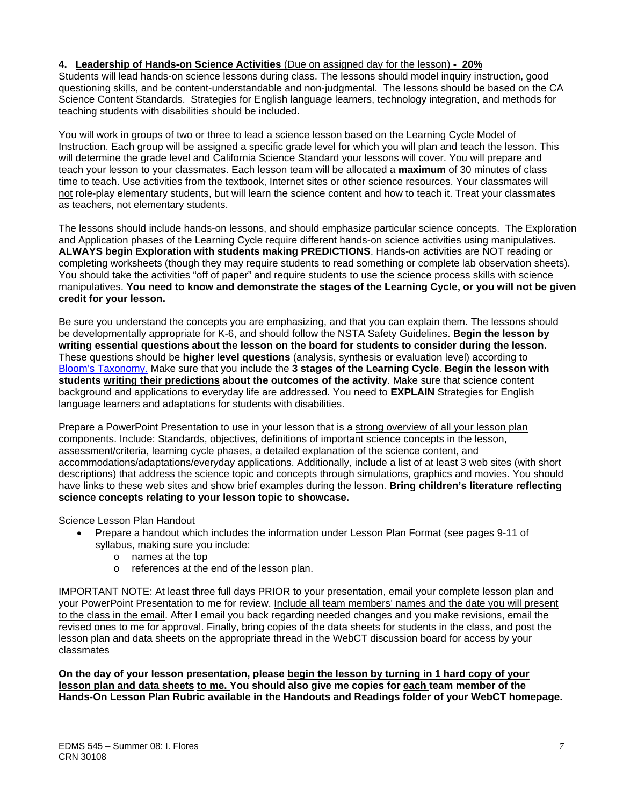## **4. Leadership of Hands-on Science Activities** (Due on assigned day for the lesson) **- 20%**

Students will lead hands-on science lessons during class. The lessons should model inquiry instruction, good questioning skills, and be content-understandable and non-judgmental. The lessons should be based on the CA Science Content Standards. Strategies for English language learners, technology integration, and methods for teaching students with disabilities should be included.

You will work in groups of two or three to lead a science lesson based on the Learning Cycle Model of Instruction. Each group will be assigned a specific grade level for which you will plan and teach the lesson. This will determine the grade level and California Science Standard your lessons will cover. You will prepare and teach your lesson to your classmates. Each lesson team will be allocated a **maximum** of 30 minutes of class time to teach. Use activities from the textbook, Internet sites or other science resources. Your classmates will not role-play elementary students, but will learn the science content and how to teach it. Treat your classmates as teachers, not elementary students.

The lessons should include hands-on lessons, and should emphasize particular science concepts. The Exploration and Application phases of the Learning Cycle require different hands-on science activities using manipulatives. **ALWAYS begin Exploration with students making PREDICTIONS**. Hands-on activities are NOT reading or completing worksheets (though they may require students to read something or complete lab observation sheets). You should take the activities "off of paper" and require students to use the science process skills with science manipulatives. **You need to know and demonstrate the stages of the Learning Cycle, or you will not be given credit for your lesson.**

Be sure you understand the concepts you are emphasizing, and that you can explain them. The lessons should be developmentally appropriate for K-6, and should follow the NSTA Safety Guidelines. **Begin the lesson by writing essential questions about the lesson on the board for students to consider during the lesson.**  These questions should be **higher level questions** (analysis, synthesis or evaluation level) according to Bloom's Taxonomy. Make sure that you include the **3 stages of the Learning Cycle**. **Begin the lesson with students writing their predictions about the outcomes of the activity**. Make sure that science content background and applications to everyday life are addressed. You need to **EXPLAIN** Strategies for English language learners and adaptations for students with disabilities.

Prepare a PowerPoint Presentation to use in your lesson that is a strong overview of all your lesson plan components. Include: Standards, objectives, definitions of important science concepts in the lesson, assessment/criteria, learning cycle phases, a detailed explanation of the science content, and accommodations/adaptations/everyday applications. Additionally, include a list of at least 3 web sites (with short descriptions) that address the science topic and concepts through simulations, graphics and movies. You should have links to these web sites and show brief examples during the lesson. **Bring children's literature reflecting science concepts relating to your lesson topic to showcase.**

Science Lesson Plan Handout

- Prepare a handout which includes the information under Lesson Plan Format (see pages 9-11 of syllabus, making sure you include:
	- o names at the top
	- o references at the end of the lesson plan.

IMPORTANT NOTE: At least three full days PRIOR to your presentation, email your complete lesson plan and your PowerPoint Presentation to me for review. Include all team members' names and the date you will present to the class in the email. After I email you back regarding needed changes and you make revisions, email the revised ones to me for approval. Finally, bring copies of the data sheets for students in the class, and post the lesson plan and data sheets on the appropriate thread in the WebCT discussion board for access by your classmates

**On the day of your lesson presentation, please begin the lesson by turning in 1 hard copy of your lesson plan and data sheets to me. You should also give me copies for each team member of the Hands-On Lesson Plan Rubric available in the Handouts and Readings folder of your WebCT homepage.**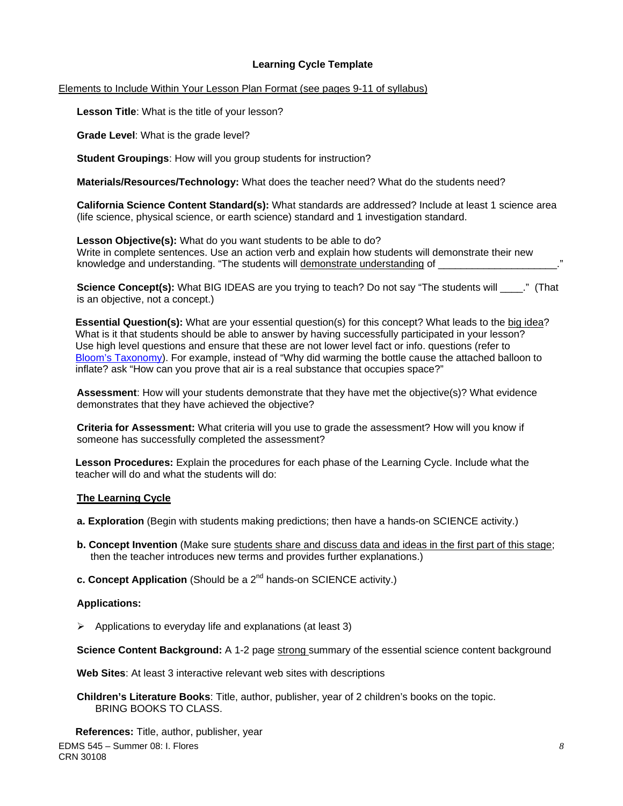## **Learning Cycle Template**

### Elements to Include Within Your Lesson Plan Format (see pages 9-11 of syllabus)

**Lesson Title**: What is the title of your lesson?

**Grade Level**: What is the grade level?

**Student Groupings**: How will you group students for instruction?

**Materials/Resources/Technology:** What does the teacher need? What do the students need?

**California Science Content Standard(s):** What standards are addressed? Include at least 1 science area (life science, physical science, or earth science) standard and 1 investigation standard.

**Lesson Objective(s):** What do you want students to be able to do? Write in complete sentences. Use an action verb and explain how students will demonstrate their new knowledge and understanding. "The students will demonstrate understanding of \_

**Science Concept(s):** What BIG IDEAS are you trying to teach? Do not say "The students will \_\_\_\_." (That is an objective, not a concept.)

**Essential Question(s):** What are your essential question(s) for this concept? What leads to the big idea? What is it that students should be able to answer by having successfully participated in your lesson? Use high level questions and ensure that these are not lower level fact or info. questions (refer to Bloom's Taxonomy). For example, instead of "Why did warming the bottle cause the attached balloon to inflate? ask "How can you prove that air is a real substance that occupies space?"

**Assessment**: How will your students demonstrate that they have met the objective(s)? What evidence demonstrates that they have achieved the objective?

**Criteria for Assessment:** What criteria will you use to grade the assessment? How will you know if someone has successfully completed the assessment?

 **Lesson Procedures:** Explain the procedures for each phase of the Learning Cycle. Include what the teacher will do and what the students will do:

## **The Learning Cycle**

- **a. Exploration** (Begin with students making predictions; then have a hands-on SCIENCE activity.)
- **b. Concept Invention** (Make sure students share and discuss data and ideas in the first part of this stage; then the teacher introduces new terms and provides further explanations.)
- **c. Concept Application** (Should be a 2<sup>nd</sup> hands-on SCIENCE activity.)

#### **Applications:**

 $\triangleright$  Applications to everyday life and explanations (at least 3)

**Science Content Background:** A 1-2 page strong summary of the essential science content background

**Web Sites**: At least 3 interactive relevant web sites with descriptions

**Children's Literature Books**: Title, author, publisher, year of 2 children's books on the topic. BRING BOOKS TO CLASS.

EDMS 545 – Summer 08: I. Flores CRN 30108  **References:** Title, author, publisher, year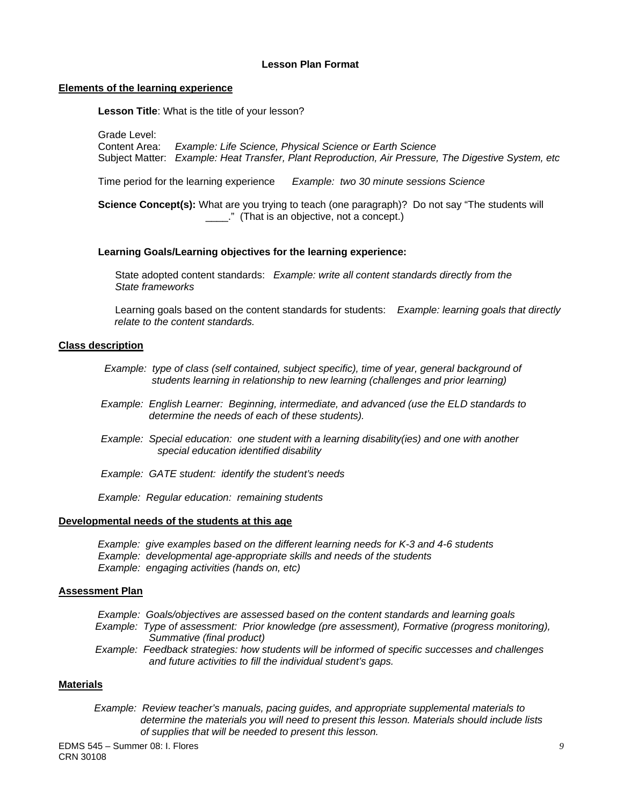#### **Lesson Plan Format**

#### **Elements of the learning experience**

 **Lesson Title**: What is the title of your lesson?

Grade Level:

 Content Area: *Example: Life Science, Physical Science or Earth Science* Subject Matter: *Example: Heat Transfer, Plant Reproduction, Air Pressure, The Digestive System, etc* 

Time period for the learning experience *Example: two 30 minute sessions Science* 

**Science Concept(s):** What are you trying to teach (one paragraph)? Do not say "The students will \_\_\_\_." (That is an objective, not a concept.)

#### **Learning Goals/Learning objectives for the learning experience:**

 State adopted content standards: *Example: write all content standards directly from the State frameworks* 

 Learning goals based on the content standards for students: *Example: learning goals that directly relate to the content standards.* 

#### **Class description**

- *Example: type of class (self contained, subject specific), time of year, general background of students learning in relationship to new learning (challenges and prior learning)*
- *Example: English Learner: Beginning, intermediate, and advanced (use the ELD standards to determine the needs of each of these students).*
- *Example: Special education: one student with a learning disability(ies) and one with another special education identified disability*
- *Example: GATE student: identify the student's needs*

 *Example: Regular education: remaining students* 

#### **Developmental needs of the students at this age**

 *Example: give examples based on the different learning needs for K-3 and 4-6 students Example: developmental age-appropriate skills and needs of the students Example: engaging activities (hands on, etc)* 

#### **Assessment Plan**

- *Example: Goals/objectives are assessed based on the content standards and learning goals Example: Type of assessment: Prior knowledge (pre assessment), Formative (progress monitoring), Summative (final product)*
- *Example: Feedback strategies: how students will be informed of specific successes and challenges and future activities to fill the individual student's gaps.*

#### **Materials**

 *Example: Review teacher's manuals, pacing guides, and appropriate supplemental materials to determine the materials you will need to present this lesson. Materials should include lists of supplies that will be needed to present this lesson.*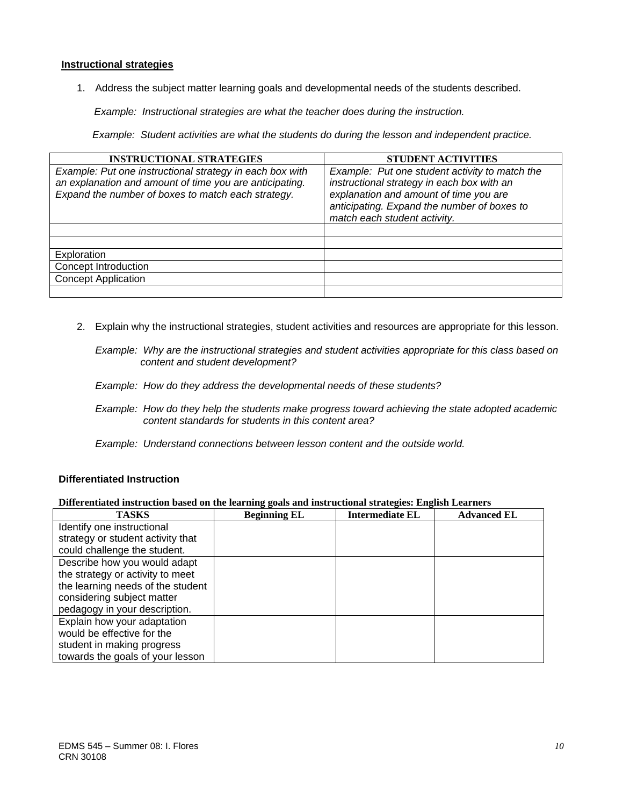## **Instructional strategies**

1. Address the subject matter learning goals and developmental needs of the students described.

*Example: Instructional strategies are what the teacher does during the instruction.* 

 *Example: Student activities are what the students do during the lesson and independent practice.* 

| <b>INSTRUCTIONAL STRATEGIES</b>                                                                                                                                           | <b>STUDENT ACTIVITIES</b>                                                                                                                                                                                             |
|---------------------------------------------------------------------------------------------------------------------------------------------------------------------------|-----------------------------------------------------------------------------------------------------------------------------------------------------------------------------------------------------------------------|
| Example: Put one instructional strategy in each box with<br>an explanation and amount of time you are anticipating.<br>Expand the number of boxes to match each strategy. | Example: Put one student activity to match the<br>instructional strategy in each box with an<br>explanation and amount of time you are<br>anticipating. Expand the number of boxes to<br>match each student activity. |
|                                                                                                                                                                           |                                                                                                                                                                                                                       |
|                                                                                                                                                                           |                                                                                                                                                                                                                       |
| Exploration                                                                                                                                                               |                                                                                                                                                                                                                       |
| Concept Introduction                                                                                                                                                      |                                                                                                                                                                                                                       |
| <b>Concept Application</b>                                                                                                                                                |                                                                                                                                                                                                                       |
|                                                                                                                                                                           |                                                                                                                                                                                                                       |

2. Explain why the instructional strategies, student activities and resources are appropriate for this lesson.

*Example: Why are the instructional strategies and student activities appropriate for this class based on content and student development?* 

*Example: How do they address the developmental needs of these students?* 

- *Example: How do they help the students make progress toward achieving the state adopted academic content standards for students in this content area?*
- *Example: Understand connections between lesson content and the outside world.*

### **Differentiated Instruction**

#### **Differentiated instruction based on the learning goals and instructional strategies: English Learners**

| <b>TASKS</b>                      | <b>Beginning EL</b> | <b>Intermediate EL</b> | <b>Advanced EL</b> |
|-----------------------------------|---------------------|------------------------|--------------------|
| Identify one instructional        |                     |                        |                    |
| strategy or student activity that |                     |                        |                    |
| could challenge the student.      |                     |                        |                    |
| Describe how you would adapt      |                     |                        |                    |
| the strategy or activity to meet  |                     |                        |                    |
| the learning needs of the student |                     |                        |                    |
| considering subject matter        |                     |                        |                    |
| pedagogy in your description.     |                     |                        |                    |
| Explain how your adaptation       |                     |                        |                    |
| would be effective for the        |                     |                        |                    |
| student in making progress        |                     |                        |                    |
| towards the goals of your lesson  |                     |                        |                    |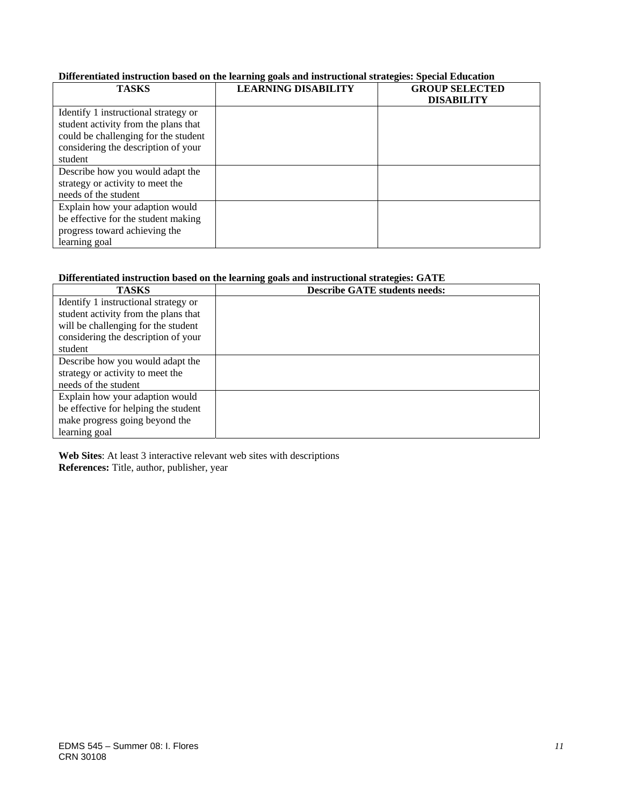#### **Differentiated instruction based on the learning goals and instructional strategies: Special Education**

| <b>TASKS</b>                                                                                                                                                           | <b>LEARNING DISABILITY</b> | <b>GROUP SELECTED</b><br><b>DISABILITY</b> |
|------------------------------------------------------------------------------------------------------------------------------------------------------------------------|----------------------------|--------------------------------------------|
| Identify 1 instructional strategy or<br>student activity from the plans that<br>could be challenging for the student<br>considering the description of your<br>student |                            |                                            |
| Describe how you would adapt the                                                                                                                                       |                            |                                            |
| strategy or activity to meet the<br>needs of the student                                                                                                               |                            |                                            |
| Explain how your adaption would<br>be effective for the student making<br>progress toward achieving the<br>learning goal                                               |                            |                                            |

## **Differentiated instruction based on the learning goals and instructional strategies: GATE**

| <b>TASKS</b>                         | <b>Describe GATE students needs:</b> |
|--------------------------------------|--------------------------------------|
| Identify 1 instructional strategy or |                                      |
| student activity from the plans that |                                      |
| will be challenging for the student  |                                      |
| considering the description of your  |                                      |
| student                              |                                      |
| Describe how you would adapt the     |                                      |
| strategy or activity to meet the     |                                      |
| needs of the student                 |                                      |
| Explain how your adaption would      |                                      |
| be effective for helping the student |                                      |
| make progress going beyond the       |                                      |
| learning goal                        |                                      |

**Web Sites**: At least 3 interactive relevant web sites with descriptions **References:** Title, author, publisher, year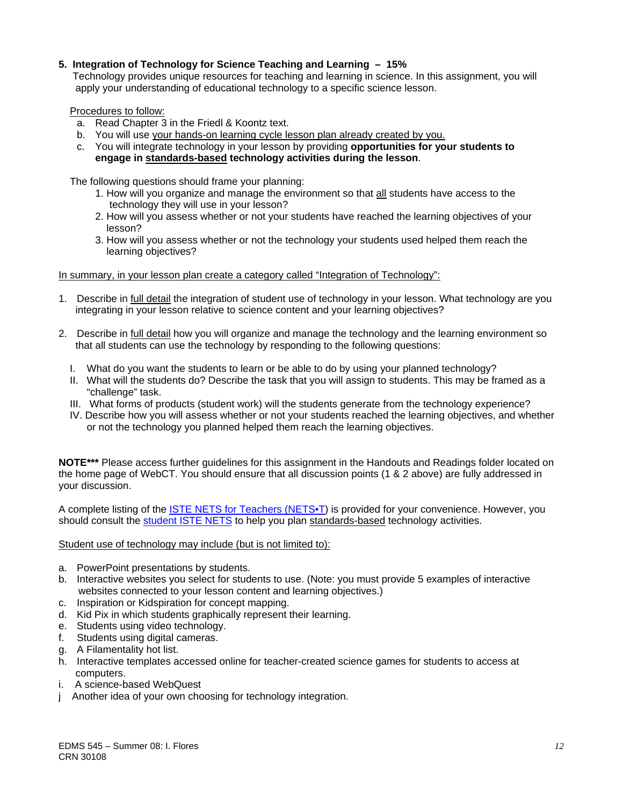## **5. Integration of Technology for Science Teaching and Learning – 15%**

 Technology provides unique resources for teaching and learning in science. In this assignment, you will apply your understanding of educational technology to a specific science lesson.

Procedures to follow:

- a. Read Chapter 3 in the Friedl & Koontz text.
- b. You will use your hands-on learning cycle lesson plan already created by you.
- c. You will integrate technology in your lesson by providing **opportunities for your students to engage in standards-based technology activities during the lesson**.

The following questions should frame your planning:

- 1. How will you organize and manage the environment so that all students have access to the technology they will use in your lesson?
- 2. How will you assess whether or not your students have reached the learning objectives of your lesson?
- 3. How will you assess whether or not the technology your students used helped them reach the learning objectives?

## In summary, in your lesson plan create a category called "Integration of Technology":

- 1. Describe in full detail the integration of student use of technology in your lesson. What technology are you integrating in your lesson relative to science content and your learning objectives?
- 2. Describe in full detail how you will organize and manage the technology and the learning environment so that all students can use the technology by responding to the following questions:
	- I. What do you want the students to learn or be able to do by using your planned technology?
	- II. What will the students do? Describe the task that you will assign to students. This may be framed as a "challenge" task.
	- III. What forms of products (student work) will the students generate from the technology experience?
	- IV. Describe how you will assess whether or not your students reached the learning objectives, and whether or not the technology you planned helped them reach the learning objectives.

**NOTE\*\*\*** Please access further guidelines for this assignment in the Handouts and Readings folder located on the home page of WebCT. You should ensure that all discussion points (1 & 2 above) are fully addressed in your discussion.

A complete listing of the **ISTE NETS** for Teachers (NETS. ) is provided for your convenience. However, you should consult the student ISTE NETS to help you plan standards-based technology activities.

#### Student use of technology may include (but is not limited to):

- a. PowerPoint presentations by students.
- b. Interactive websites you select for students to use. (Note: you must provide 5 examples of interactive websites connected to your lesson content and learning objectives.)
- c. Inspiration or Kidspiration for concept mapping.
- d. Kid Pix in which students graphically represent their learning.
- e. Students using video technology.
- f. Students using digital cameras.
- g. A Filamentality hot list.
- h. Interactive templates accessed online for teacher-created science games for students to access at computers.
- i. A science-based WebQuest
- j Another idea of your own choosing for technology integration.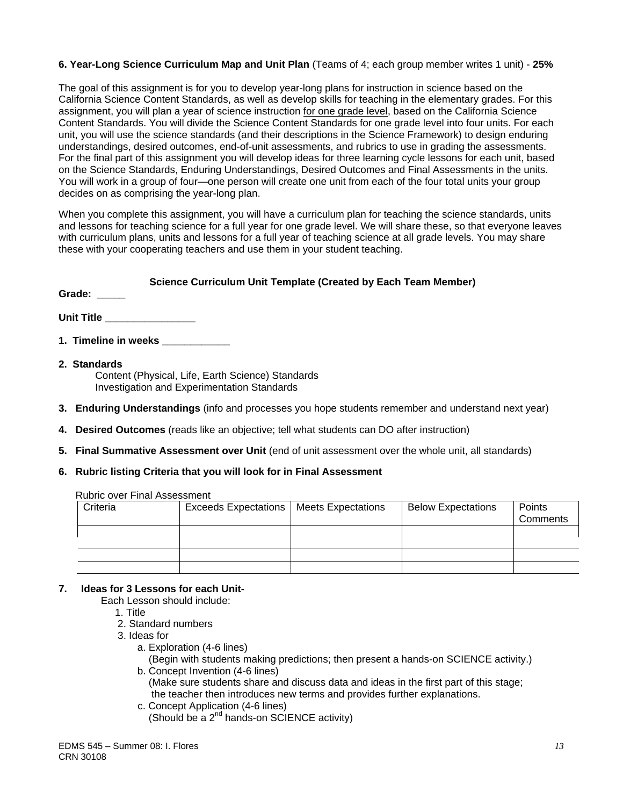## **6. Year-Long Science Curriculum Map and Unit Plan** (Teams of 4; each group member writes 1 unit) - **25%**

The goal of this assignment is for you to develop year-long plans for instruction in science based on the California Science Content Standards, as well as develop skills for teaching in the elementary grades. For this assignment, you will plan a year of science instruction for one grade level, based on the California Science Content Standards. You will divide the Science Content Standards for one grade level into four units. For each unit, you will use the science standards (and their descriptions in the Science Framework) to design enduring understandings, desired outcomes, end-of-unit assessments, and rubrics to use in grading the assessments. For the final part of this assignment you will develop ideas for three learning cycle lessons for each unit, based on the Science Standards, Enduring Understandings, Desired Outcomes and Final Assessments in the units. You will work in a group of four—one person will create one unit from each of the four total units your group decides on as comprising the year-long plan.

When you complete this assignment, you will have a curriculum plan for teaching the science standards, units and lessons for teaching science for a full year for one grade level. We will share these, so that everyone leaves with curriculum plans, units and lessons for a full year of teaching science at all grade levels. You may share these with your cooperating teachers and use them in your student teaching.

## **Science Curriculum Unit Template (Created by Each Team Member)**

Grade: \_\_\_\_\_

Unit Title **With an alleger of the Unit Title** 

- **1. Timeline in weeks**
- **2. Standards**  Content (Physical, Life, Earth Science) Standards Investigation and Experimentation Standards
- **3. Enduring Understandings** (info and processes you hope students remember and understand next year)
- **4. Desired Outcomes** (reads like an objective; tell what students can DO after instruction)
- **5. Final Summative Assessment over Unit** (end of unit assessment over the whole unit, all standards)

## **6. Rubric listing Criteria that you will look for in Final Assessment**

| Criteria | Exceeds Expectations   Meets Expectations | <b>Below Expectations</b> | Points<br>Comments |
|----------|-------------------------------------------|---------------------------|--------------------|
|          |                                           |                           |                    |
|          |                                           |                           |                    |
|          |                                           |                           |                    |

Rubric over Final Assessment

#### **7. Ideas for 3 Lessons for each Unit-**

- Each Lesson should include:
	- 1. Title
	- 2. Standard numbers
	- 3. Ideas for
		- a. Exploration (4-6 lines)

 (Begin with students making predictions; then present a hands-on SCIENCE activity.) b. Concept Invention (4-6 lines)

 (Make sure students share and discuss data and ideas in the first part of this stage; the teacher then introduces new terms and provides further explanations.

- c. Concept Application (4-6 lines)
	- (Should be a 2<sup>nd</sup> hands-on SCIENCE activity)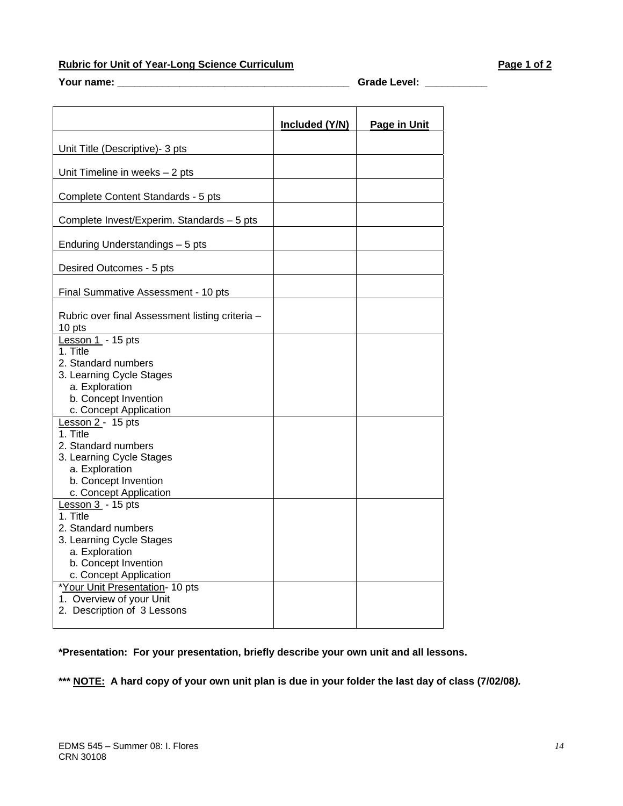# **Rubric for Unit of Year-Long Science Curriculum**  Page 1 of 2

**Your name: \_\_\_\_\_\_\_\_\_\_\_\_\_\_\_\_\_\_\_\_\_\_\_\_\_\_\_\_\_\_\_\_\_\_\_\_\_\_\_\_\_ Grade Level: \_\_\_\_\_\_\_\_\_\_\_** 

|                                                           | Included (Y/N) | Page in Unit |
|-----------------------------------------------------------|----------------|--------------|
|                                                           |                |              |
| Unit Title (Descriptive)- 3 pts                           |                |              |
| Unit Timeline in weeks $-2$ pts                           |                |              |
| Complete Content Standards - 5 pts                        |                |              |
| Complete Invest/Experim. Standards - 5 pts                |                |              |
| Enduring Understandings - 5 pts                           |                |              |
| Desired Outcomes - 5 pts                                  |                |              |
| Final Summative Assessment - 10 pts                       |                |              |
| Rubric over final Assessment listing criteria -<br>10 pts |                |              |
| Lesson 1 - 15 pts<br>1. Title                             |                |              |
| 2. Standard numbers<br>3. Learning Cycle Stages           |                |              |
| a. Exploration                                            |                |              |
| b. Concept Invention                                      |                |              |
| c. Concept Application<br>Lesson 2 - 15 pts               |                |              |
| 1. Title                                                  |                |              |
| 2. Standard numbers                                       |                |              |
| 3. Learning Cycle Stages                                  |                |              |
| a. Exploration                                            |                |              |
| b. Concept Invention<br>c. Concept Application            |                |              |
| Lesson $3 - 15$ pts                                       |                |              |
| 1. Title                                                  |                |              |
| 2. Standard numbers                                       |                |              |
| 3. Learning Cycle Stages                                  |                |              |
| a. Exploration                                            |                |              |
| b. Concept Invention<br>c. Concept Application            |                |              |
| *Your Unit Presentation- 10 pts                           |                |              |
| 1. Overview of your Unit                                  |                |              |
| 2. Description of 3 Lessons                               |                |              |
|                                                           |                |              |

**\*Presentation: For your presentation, briefly describe your own unit and all lessons.** 

**\*\*\* NOTE: A hard copy of your own unit plan is due in your folder the last day of class (7/02/08***).*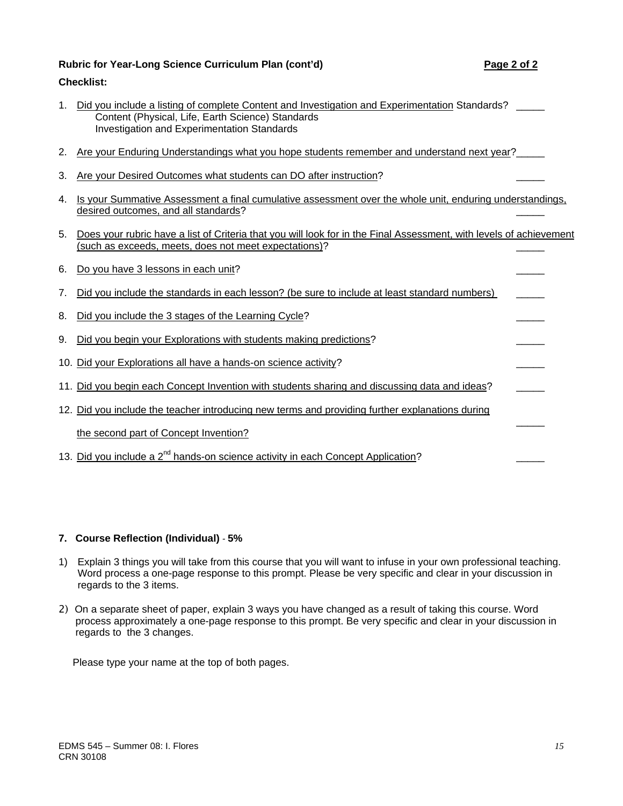## Rubric for Year-Long Science Curriculum Plan (cont'd) **Page 2 of 2** Page 2 of 2

## **Checklist:**

- 1. Did you include a listing of complete Content and Investigation and Experimentation Standards? \_\_\_\_\_\_ Content (Physical, Life, Earth Science) Standards Investigation and Experimentation Standards
- 2. Are your Enduring Understandings what you hope students remember and understand next year?
- 3. Are your Desired Outcomes what students can DO after instruction?
- 4. Is your Summative Assessment a final cumulative assessment over the whole unit, enduring understandings, desired outcomes, and all standards? \_\_\_\_\_
- 5. Does your rubric have a list of Criteria that you will look for in the Final Assessment, with levels of achievement (such as exceeds, meets, does not meet expectations)? \_\_\_\_\_
- 6. Do you have 3 lessons in each unit? 7. Did you include the standards in each lesson? (be sure to include at least standard numbers) 8. Did you include the 3 stages of the Learning Cycle? 9. Did you begin your Explorations with students making predictions? 10. Did your Explorations all have a hands-on science activity? 11. Did you begin each Concept Invention with students sharing and discussing data and ideas? 12. Did you include the teacher introducing new terms and providing further explanations during  $\overline{\phantom{a}}$ the second part of Concept Invention? 13. Did you include a  $2^{nd}$  hands-on science activity in each Concept Application?

#### **7. Course Reflection (Individual)** *-* **5%**

- 1) Explain 3 things you will take from this course that you will want to infuse in your own professional teaching. Word process a one-page response to this prompt. Please be very specific and clear in your discussion in regards to the 3 items.
- 2) On a separate sheet of paper, explain 3 ways you have changed as a result of taking this course. Word process approximately a one-page response to this prompt. Be very specific and clear in your discussion in regards to the 3 changes.

Please type your name at the top of both pages.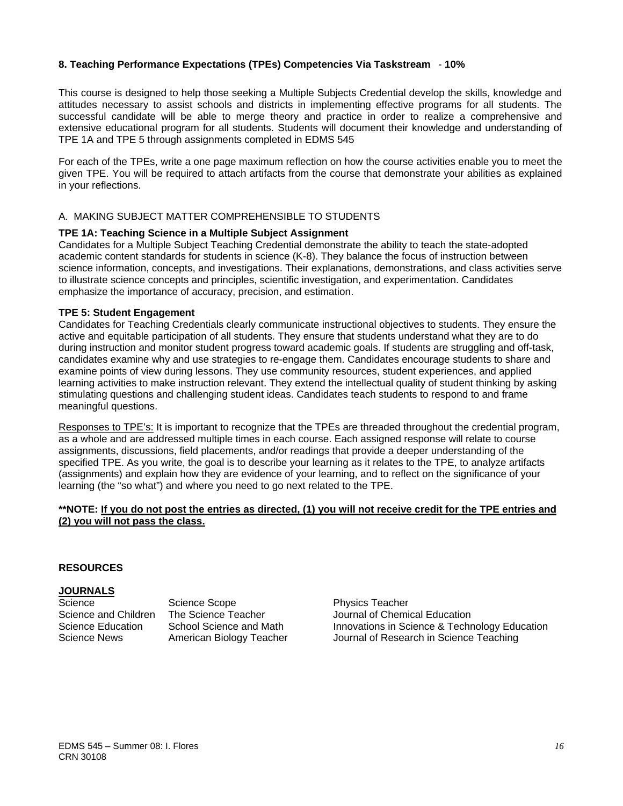## **8. Teaching Performance Expectations (TPEs) Competencies Via Taskstream** - **10%**

This course is designed to help those seeking a Multiple Subjects Credential develop the skills, knowledge and attitudes necessary to assist schools and districts in implementing effective programs for all students. The successful candidate will be able to merge theory and practice in order to realize a comprehensive and extensive educational program for all students. Students will document their knowledge and understanding of TPE 1A and TPE 5 through assignments completed in EDMS 545

For each of the TPEs, write a one page maximum reflection on how the course activities enable you to meet the given TPE. You will be required to attach artifacts from the course that demonstrate your abilities as explained in your reflections.

## A. MAKING SUBJECT MATTER COMPREHENSIBLE TO STUDENTS

#### **TPE 1A: Teaching Science in a Multiple Subject Assignment**

Candidates for a Multiple Subject Teaching Credential demonstrate the ability to teach the state-adopted academic content standards for students in science (K-8). They balance the focus of instruction between science information, concepts, and investigations. Their explanations, demonstrations, and class activities serve to illustrate science concepts and principles, scientific investigation, and experimentation. Candidates emphasize the importance of accuracy, precision, and estimation.

#### **TPE 5: Student Engagement**

Candidates for Teaching Credentials clearly communicate instructional objectives to students. They ensure the active and equitable participation of all students. They ensure that students understand what they are to do during instruction and monitor student progress toward academic goals. If students are struggling and off-task, candidates examine why and use strategies to re-engage them. Candidates encourage students to share and examine points of view during lessons. They use community resources, student experiences, and applied learning activities to make instruction relevant. They extend the intellectual quality of student thinking by asking stimulating questions and challenging student ideas. Candidates teach students to respond to and frame meaningful questions.

Responses to TPE's: It is important to recognize that the TPEs are threaded throughout the credential program, as a whole and are addressed multiple times in each course. Each assigned response will relate to course assignments, discussions, field placements, and/or readings that provide a deeper understanding of the specified TPE. As you write, the goal is to describe your learning as it relates to the TPE, to analyze artifacts (assignments) and explain how they are evidence of your learning, and to reflect on the significance of your learning (the "so what") and where you need to go next related to the TPE.

### **\*\*NOTE: If you do not post the entries as directed, (1) you will not receive credit for the TPE entries and (2) you will not pass the class.**

#### **RESOURCES**

## **JOURNALS**

Science Science Scope **Physics Teacher** 

Science and Children The Science Teacher Journal of Chemical Education Science Education School Science and Math Innovations in Science & Technology Education Science News American Biology Teacher Journal of Research in Science Teaching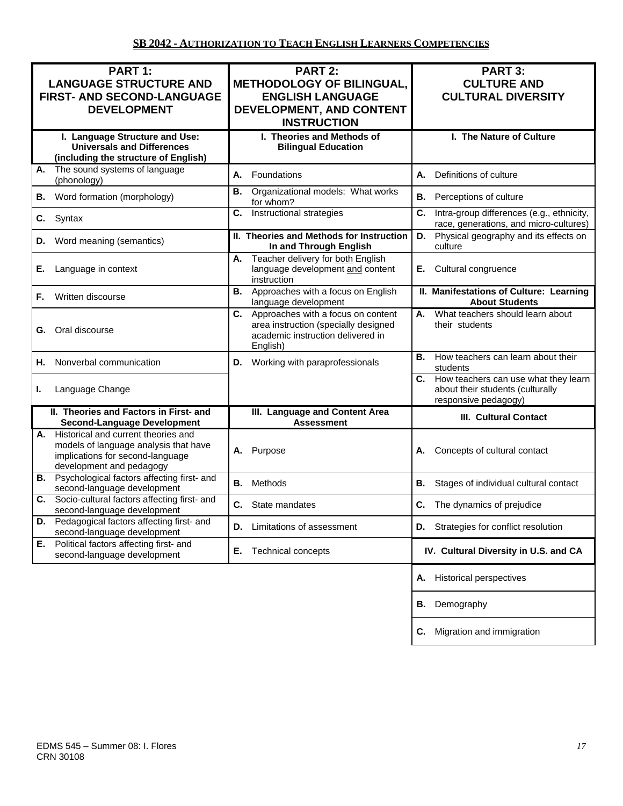| PART 1:<br><b>LANGUAGE STRUCTURE AND</b><br><b>FIRST- AND SECOND-LANGUAGE</b><br><b>DEVELOPMENT</b>                                             | <b>PART 2:</b><br><b>METHODOLOGY OF BILINGUAL,</b><br><b>ENGLISH LANGUAGE</b><br>DEVELOPMENT, AND CONTENT<br><b>INSTRUCTION</b> | PART 3:<br><b>CULTURE AND</b><br><b>CULTURAL DIVERSITY</b>                                          |  |
|-------------------------------------------------------------------------------------------------------------------------------------------------|---------------------------------------------------------------------------------------------------------------------------------|-----------------------------------------------------------------------------------------------------|--|
| I. Language Structure and Use:<br><b>Universals and Differences</b><br>(including the structure of English)                                     | I. Theories and Methods of<br><b>Bilingual Education</b>                                                                        | I. The Nature of Culture                                                                            |  |
| The sound systems of language<br>А.<br>(phonology)                                                                                              | Foundations<br>А.                                                                                                               | Definitions of culture<br>А.                                                                        |  |
| Word formation (morphology)<br>В.                                                                                                               | Organizational models: What works<br>В.<br>for whom?                                                                            | <b>B.</b> Perceptions of culture                                                                    |  |
| Syntax<br>C.                                                                                                                                    | Instructional strategies<br>C.                                                                                                  | Intra-group differences (e.g., ethnicity,<br>С.<br>race, generations, and micro-cultures)           |  |
| Word meaning (semantics)<br>D.                                                                                                                  | II. Theories and Methods for Instruction<br>In and Through English                                                              | Physical geography and its effects on<br>D.<br>culture                                              |  |
| Language in context<br>Е.                                                                                                                       | Teacher delivery for both English<br>А.<br>language development and content<br>instruction                                      | Cultural congruence<br>Е.                                                                           |  |
| Written discourse<br>F.                                                                                                                         | <b>B.</b> Approaches with a focus on English<br>language development                                                            | II. Manifestations of Culture: Learning<br><b>About Students</b>                                    |  |
| Oral discourse<br>G.                                                                                                                            | C. Approaches with a focus on content<br>area instruction (specially designed<br>academic instruction delivered in<br>English)  | What teachers should learn about<br>А.<br>their students                                            |  |
| Nonverbal communication<br>Н.                                                                                                                   | D. Working with paraprofessionals                                                                                               | How teachers can learn about their<br>В.<br>students                                                |  |
| Language Change<br>L.                                                                                                                           |                                                                                                                                 | C. How teachers can use what they learn<br>about their students (culturally<br>responsive pedagogy) |  |
| II. Theories and Factors in First- and<br><b>Second-Language Development</b>                                                                    | III. Language and Content Area<br><b>Assessment</b>                                                                             | <b>III. Cultural Contact</b>                                                                        |  |
| A. Historical and current theories and<br>models of language analysis that have<br>implications for second-language<br>development and pedagogy | Purpose<br>А.                                                                                                                   | Concepts of cultural contact<br>А.                                                                  |  |
| <b>B.</b> Psychological factors affecting first- and<br>second-language development                                                             | Methods<br>В.                                                                                                                   | В.<br>Stages of individual cultural contact                                                         |  |
| Socio-cultural factors affecting first- and<br>С.<br>second-language development                                                                | С.<br>State mandates                                                                                                            | The dynamics of prejudice<br>С.                                                                     |  |
| Pedagogical factors affecting first- and<br>D.<br>second-language development                                                                   | Limitations of assessment<br>D.                                                                                                 | Strategies for conflict resolution<br>D.                                                            |  |
| E. Political factors affecting first- and<br>second-language development                                                                        | Technical concepts<br>Е.                                                                                                        | IV. Cultural Diversity in U.S. and CA                                                               |  |
|                                                                                                                                                 |                                                                                                                                 | <b>Historical perspectives</b><br>А.                                                                |  |
|                                                                                                                                                 |                                                                                                                                 | Demography<br>В.                                                                                    |  |
|                                                                                                                                                 |                                                                                                                                 | Migration and immigration<br>С.                                                                     |  |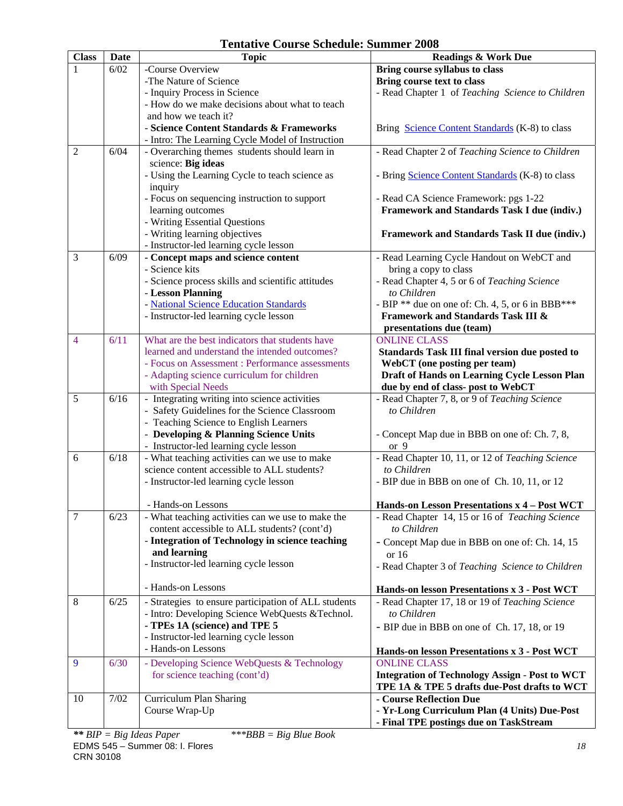| <b>Class</b>   | <b>Date</b> | <b>Topic</b>                                         | <b>Readings &amp; Work Due</b>                        |
|----------------|-------------|------------------------------------------------------|-------------------------------------------------------|
|                | 6/02        | -Course Overview                                     | Bring course syllabus to class                        |
|                |             | -The Nature of Science                               | Bring course text to class                            |
|                |             | - Inquiry Process in Science                         | - Read Chapter 1 of Teaching Science to Children      |
|                |             | - How do we make decisions about what to teach       |                                                       |
|                |             | and how we teach it?                                 |                                                       |
|                |             | - Science Content Standards & Frameworks             | Bring Science Content Standards (K-8) to class        |
|                |             | - Intro: The Learning Cycle Model of Instruction     |                                                       |
| $\overline{2}$ | 6/04        | - Overarching themes students should learn in        | - Read Chapter 2 of Teaching Science to Children      |
|                |             | science: Big ideas                                   |                                                       |
|                |             | - Using the Learning Cycle to teach science as       | - Bring Science Content Standards (K-8) to class      |
|                |             | inquiry                                              |                                                       |
|                |             | - Focus on sequencing instruction to support         | - Read CA Science Framework: pgs 1-22                 |
|                |             | learning outcomes                                    | <b>Framework and Standards Task I due (indiv.)</b>    |
|                |             | - Writing Essential Questions                        |                                                       |
|                |             | - Writing learning objectives                        | Framework and Standards Task II due (indiv.)          |
|                |             | - Instructor-led learning cycle lesson               |                                                       |
| 3              | 6/09        | - Concept maps and science content                   | - Read Learning Cycle Handout on WebCT and            |
|                |             | - Science kits                                       | bring a copy to class                                 |
|                |             | - Science process skills and scientific attitudes    | - Read Chapter 4, 5 or 6 of Teaching Science          |
|                |             | - Lesson Planning                                    | to Children                                           |
|                |             | - National Science Education Standards               | - BIP ** due on one of: Ch. 4, 5, or 6 in BBB***      |
|                |             | - Instructor-led learning cycle lesson               | <b>Framework and Standards Task III &amp;</b>         |
|                |             |                                                      | presentations due (team)                              |
| $\overline{4}$ | 6/11        | What are the best indicators that students have      | <b>ONLINE CLASS</b>                                   |
|                |             | learned and understand the intended outcomes?        | Standards Task III final version due posted to        |
|                |             | - Focus on Assessment : Performance assessments      | WebCT (one posting per team)                          |
|                |             | - Adapting science curriculum for children           | Draft of Hands on Learning Cycle Lesson Plan          |
|                |             | with Special Needs                                   | due by end of class- post to WebCT                    |
| 5              | 6/16        | - Integrating writing into science activities        | - Read Chapter 7, 8, or 9 of Teaching Science         |
|                |             | - Safety Guidelines for the Science Classroom        | to Children                                           |
|                |             | - Teaching Science to English Learners               |                                                       |
|                |             | - Developing & Planning Science Units                | - Concept Map due in BBB on one of: Ch. 7, 8,         |
|                |             | - Instructor-led learning cycle lesson               | or $9$                                                |
| 6              | 6/18        | - What teaching activities can we use to make        | - Read Chapter 10, 11, or 12 of Teaching Science      |
|                |             | science content accessible to ALL students?          | to Children                                           |
|                |             | - Instructor-led learning cycle lesson               | - BIP due in BBB on one of Ch. 10, 11, or 12          |
|                |             |                                                      |                                                       |
|                |             | Hands-on Lessons                                     | Hands-on Lesson Presentations x 4 - Post WCT          |
| $\overline{7}$ | 6/23        | - What teaching activities can we use to make the    | - Read Chapter 14, 15 or 16 of Teaching Science       |
|                |             | content accessible to ALL students? (cont'd)         | to Children                                           |
|                |             | - Integration of Technology in science teaching      | - Concept Map due in BBB on one of: Ch. 14, 15        |
|                |             | and learning                                         | or $16$                                               |
|                |             | - Instructor-led learning cycle lesson               | - Read Chapter 3 of Teaching Science to Children      |
|                |             |                                                      |                                                       |
|                |             | - Hands-on Lessons                                   | Hands-on lesson Presentations x 3 - Post WCT          |
| 8              | 6/25        | - Strategies to ensure participation of ALL students | - Read Chapter 17, 18 or 19 of Teaching Science       |
|                |             | - Intro: Developing Science WebQuests &Technol.      | to Children                                           |
|                |             | - TPEs 1A (science) and TPE 5                        | - BIP due in BBB on one of Ch. 17, 18, or 19          |
|                |             | - Instructor-led learning cycle lesson               |                                                       |
|                |             | - Hands-on Lessons                                   | Hands-on lesson Presentations x 3 - Post WCT          |
| 9              | 6/30        | - Developing Science WebQuests & Technology          | <b>ONLINE CLASS</b>                                   |
|                |             | for science teaching (cont'd)                        | <b>Integration of Technology Assign - Post to WCT</b> |
|                |             |                                                      | TPE 1A & TPE 5 drafts due-Post drafts to WCT          |
| 10             | 7/02        | Curriculum Plan Sharing                              | - Course Reflection Due                               |
|                |             | Course Wrap-Up                                       | - Yr-Long Curriculum Plan (4 Units) Due-Post          |
|                |             |                                                      | - Final TPE postings due on TaskStream                |
|                |             |                                                      |                                                       |

# **Tentative Course Schedule: Summer 2008**